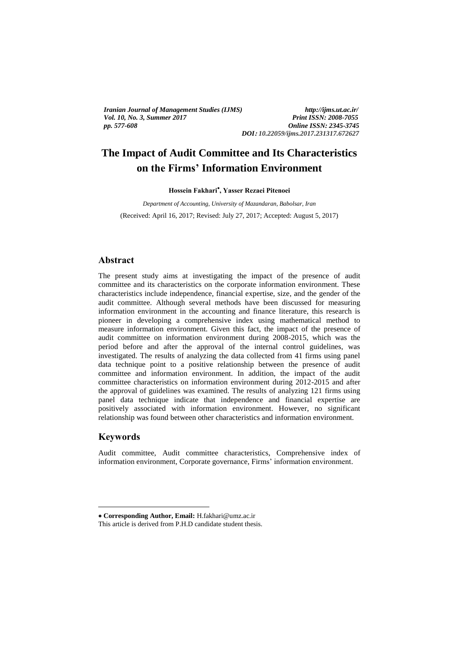*Iranian Journal of Management Studies (IJMS) http://ijms.ut.ac.ir/ Vol. 10, No. 3, Summer 2017 pp. 577-608 Online ISSN: 2345-3745*

*DOI***:** *10.22059/ijms.2017.231317.672627*

### **The Impact of Audit Committee and Its Characteristics**   **on the Firms' Information Environment**  $\sum_{i=1}^{n}$

**Hossein Fakhari , Yasser Rezaei Pitenoei** 

*Department of Accounting, University of Mazandaran, Babolsar, Iran* (Received: April 16, 2017; Revised: July 27, 2017; Accepted: August 5, 2017)

## **Abstract**

The present study aims at investigating the impact of the presence of audit committee and its characteristics on the corporate information environment. These characteristics include independence, financial expertise, size, and the gender of the audit committee. Although several methods have been discussed for measuring information environment in the accounting and finance literature, this research is pioneer in developing a comprehensive index using mathematical method to measure information environment. Given this fact, the impact of the presence of audit committee on information environment during 2008-2015, which was the period before and after the approval of the internal control guidelines, was investigated. The results of analyzing the data collected from 41 firms using panel data technique point to a positive relationship between the presence of audit committee and information environment. In addition, the impact of the audit committee characteristics on information environment during 2012-2015 and after the approval of guidelines was examined. The results of analyzing 121 firms using panel data technique indicate that independence and financial expertise are positively associated with information environment. However, no significant relationship was found between other characteristics and information environment.

# **Keywords**

1

Audit committee, Audit committee characteristics, Comprehensive index of information environment, Corporate governance, Firms' information environment.

**Corresponding Author, Email:** H.fakhari@umz.ac.ir

This article is derived from P.H.D candidate student thesis.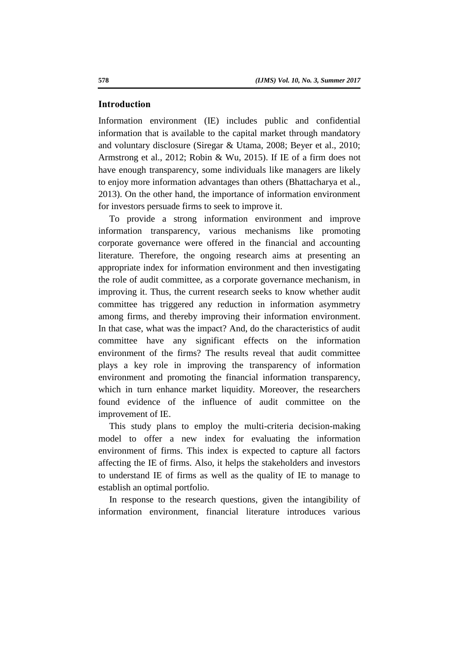### **Introduction**

Information environment (IE) includes public and confidential information that is available to the capital market through mandatory and voluntary disclosure (Siregar & Utama, 2008; Beyer et al., 2010; Armstrong et al., 2012; Robin & Wu, 2015). If IE of a firm does not have enough transparency, some individuals like managers are likely to enjoy more information advantages than others (Bhattacharya et al., 2013). On the other hand, the importance of information environment for investors persuade firms to seek to improve it.

To provide a strong information environment and improve information transparency, various mechanisms like promoting corporate governance were offered in the financial and accounting literature. Therefore, the ongoing research aims at presenting an appropriate index for information environment and then investigating the role of audit committee, as a corporate governance mechanism, in improving it. Thus, the current research seeks to know whether audit committee has triggered any reduction in information asymmetry among firms, and thereby improving their information environment. In that case, what was the impact? And, do the characteristics of audit committee have any significant effects on the information environment of the firms? The results reveal that audit committee plays a key role in improving the transparency of information environment and promoting the financial information transparency, which in turn enhance market liquidity. Moreover, the researchers found evidence of the influence of audit committee on the improvement of IE.

This study plans to employ the multi-criteria decision-making model to offer a new index for evaluating the information environment of firms. This index is expected to capture all factors affecting the IE of firms. Also, it helps the stakeholders and investors to understand IE of firms as well as the quality of IE to manage to establish an optimal portfolio.

In response to the research questions, given the intangibility of information environment, financial literature introduces various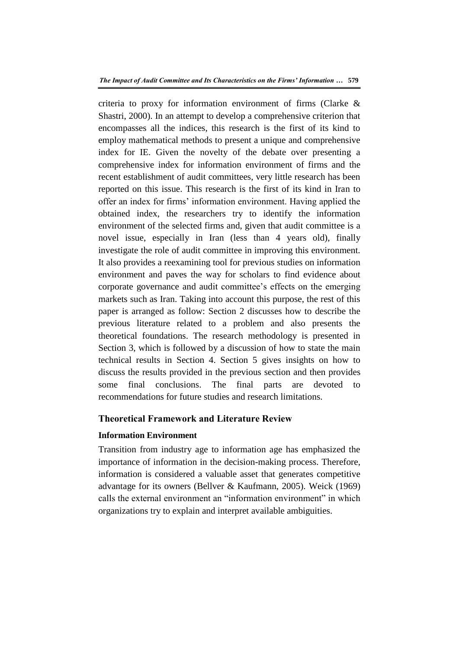criteria to proxy for information environment of firms (Clarke & Shastri, 2000). In an attempt to develop a comprehensive criterion that encompasses all the indices, this research is the first of its kind to employ mathematical methods to present a unique and comprehensive index for IE. Given the novelty of the debate over presenting a comprehensive index for information environment of firms and the recent establishment of audit committees, very little research has been reported on this issue. This research is the first of its kind in Iran to offer an index for firms' information environment. Having applied the obtained index, the researchers try to identify the information environment of the selected firms and, given that audit committee is a novel issue, especially in Iran (less than 4 years old), finally investigate the role of audit committee in improving this environment. It also provides a reexamining tool for previous studies on information environment and paves the way for scholars to find evidence about corporate governance and audit committee's effects on the emerging markets such as Iran. Taking into account this purpose, the rest of this paper is arranged as follow: Section 2 discusses how to describe the previous literature related to a problem and also presents the theoretical foundations. The research methodology is presented in Section 3, which is followed by a discussion of how to state the main technical results in Section 4. Section 5 gives insights on how to discuss the results provided in the previous section and then provides some final conclusions. The final parts are devoted to recommendations for future studies and research limitations.

### **Theoretical Framework and Literature Review**

# **Information Environment**

Transition from industry age to information age has emphasized the importance of information in the decision-making process. Therefore, information is considered a valuable asset that generates competitive advantage for its owners (Bellver & Kaufmann, 2005). Weick (1969) calls the external environment an "information environment" in which organizations try to explain and interpret available ambiguities.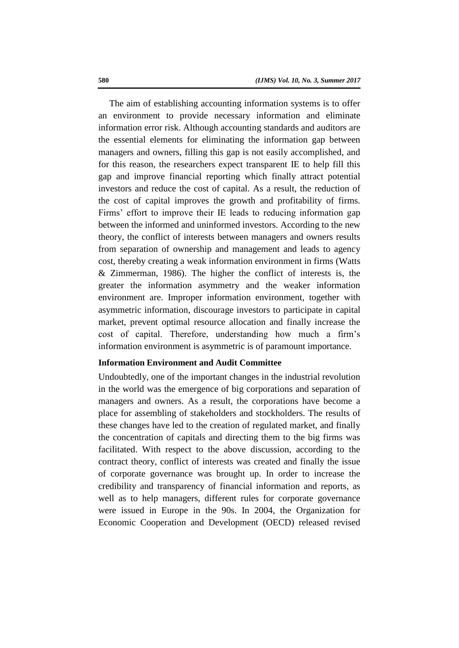The aim of establishing accounting information systems is to offer an environment to provide necessary information and eliminate information error risk. Although accounting standards and auditors are the essential elements for eliminating the information gap between managers and owners, filling this gap is not easily accomplished, and for this reason, the researchers expect transparent IE to help fill this gap and improve financial reporting which finally attract potential investors and reduce the cost of capital. As a result, the reduction of the cost of capital improves the growth and profitability of firms. Firms' effort to improve their IE leads to reducing information gap between the informed and uninformed investors. According to the new theory, the conflict of interests between managers and owners results from separation of ownership and management and leads to agency cost, thereby creating a weak information environment in firms (Watts & Zimmerman, 1986). The higher the conflict of interests is, the greater the information asymmetry and the weaker information environment are. Improper information environment, together with asymmetric information, discourage investors to participate in capital market, prevent optimal resource allocation and finally increase the cost of capital. Therefore, understanding how much a firm's information environment is asymmetric is of paramount importance.

### **Information Environment and Audit Committee**

Undoubtedly, one of the important changes in the industrial revolution in the world was the emergence of big corporations and separation of managers and owners. As a result, the corporations have become a place for assembling of stakeholders and stockholders. The results of these changes have led to the creation of regulated market, and finally the concentration of capitals and directing them to the big firms was facilitated. With respect to the above discussion, according to the contract theory, conflict of interests was created and finally the issue of corporate governance was brought up. In order to increase the credibility and transparency of financial information and reports, as well as to help managers, different rules for corporate governance were issued in Europe in the 90s. In 2004, the Organization for Economic Cooperation and Development (OECD) released revised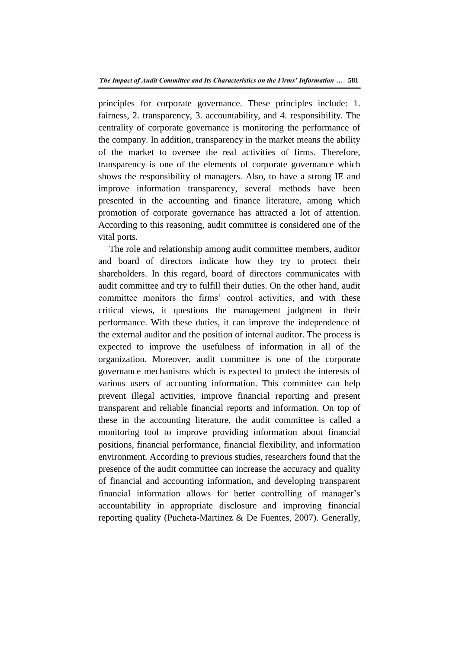principles for corporate governance. These principles include: 1. fairness, 2. transparency, 3. accountability, and 4. responsibility. The centrality of corporate governance is monitoring the performance of the company. In addition, transparency in the market means the ability of the market to oversee the real activities of firms. Therefore, transparency is one of the elements of corporate governance which shows the responsibility of managers. Also, to have a strong IE and improve information transparency, several methods have been presented in the accounting and finance literature, among which promotion of corporate governance has attracted a lot of attention. According to this reasoning, audit committee is considered one of the vital ports.

The role and relationship among audit committee members, auditor and board of directors indicate how they try to protect their shareholders. In this regard, board of directors communicates with audit committee and try to fulfill their duties. On the other hand, audit committee monitors the firms' control activities, and with these critical views, it questions the management judgment in their performance. With these duties, it can improve the independence of the external auditor and the position of internal auditor. The process is expected to improve the usefulness of information in all of the organization. Moreover, audit committee is one of the corporate governance mechanisms which is expected to protect the interests of various users of accounting information. This committee can help prevent illegal activities, improve financial reporting and present transparent and reliable financial reports and information. On top of these in the accounting literature, the audit committee is called a monitoring tool to improve providing information about financial positions, financial performance, financial flexibility, and information environment. According to previous studies, researchers found that the presence of the audit committee can increase the accuracy and quality of financial and accounting information, and developing transparent financial information allows for better controlling of manager's accountability in appropriate disclosure and improving financial reporting quality (Pucheta-Martinez & De Fuentes, 2007). Generally,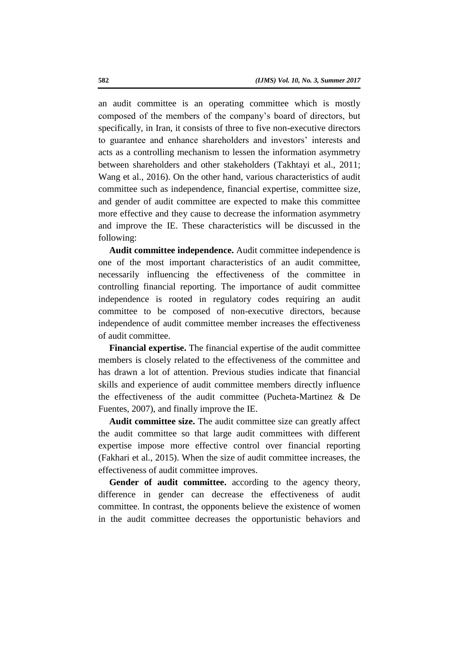an audit committee is an operating committee which is mostly composed of the members of the company's board of directors, but specifically, in Iran, it consists of three to five non-executive directors to guarantee and enhance shareholders and investors' interests and acts as a controlling mechanism to lessen the information asymmetry between shareholders and other stakeholders (Takhtayi et al., 2011; Wang et al., 2016). On the other hand, various characteristics of audit committee such as independence, financial expertise, committee size, and gender of audit committee are expected to make this committee more effective and they cause to decrease the information asymmetry and improve the IE. These characteristics will be discussed in the following:

**Audit committee independence.** Audit committee independence is one of the most important characteristics of an audit committee, necessarily influencing the effectiveness of the committee in controlling financial reporting. The importance of audit committee independence is rooted in regulatory codes requiring an audit committee to be composed of non-executive directors, because independence of audit committee member increases the effectiveness of audit committee.

**Financial expertise.** The financial expertise of the audit committee members is closely related to the effectiveness of the committee and has drawn a lot of attention. Previous studies indicate that financial skills and experience of audit committee members directly influence the effectiveness of the audit committee (Pucheta-Martinez & De Fuentes, 2007), and finally improve the IE.

**Audit committee size.** The audit committee size can greatly affect the audit committee so that large audit committees with different expertise impose more effective control over financial reporting (Fakhari et al., 2015). When the size of audit committee increases, the effectiveness of audit committee improves.

Gender of audit committee. according to the agency theory, difference in gender can decrease the effectiveness of audit committee. In contrast, the opponents believe the existence of women in the audit committee decreases the opportunistic behaviors and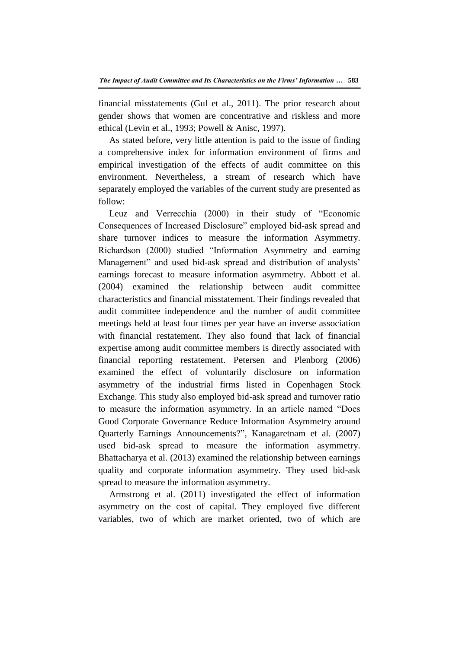financial misstatements (Gul et al., 2011). The prior research about gender shows that women are concentrative and riskless and more ethical (Levin et al., 1993; Powell & Anisc, 1997).

As stated before, very little attention is paid to the issue of finding a comprehensive index for information environment of firms and empirical investigation of the effects of audit committee on this environment. Nevertheless, a stream of research which have separately employed the variables of the current study are presented as follow:

Leuz and Verrecchia (2000) in their study of "Economic Consequences of Increased Disclosure" employed bid-ask spread and share turnover indices to measure the information Asymmetry. Richardson (2000) studied "Information Asymmetry and earning Management" and used bid-ask spread and distribution of analysts' earnings forecast to measure information asymmetry. Abbott et al. (2004) examined the relationship between audit committee characteristics and financial misstatement. Their findings revealed that audit committee independence and the number of audit committee meetings held at least four times per year have an inverse association with financial restatement. They also found that lack of financial expertise among audit committee members is directly associated with financial reporting restatement. Petersen and Plenborg (2006) examined the effect of voluntarily disclosure on information asymmetry of the industrial firms listed in Copenhagen Stock Exchange. This study also employed bid-ask spread and turnover ratio to measure the information asymmetry. In an article named "Does Good Corporate Governance Reduce Information Asymmetry around Quarterly Earnings Announcements?", Kanagaretnam et al. (2007) used bid-ask spread to measure the information asymmetry. Bhattacharya et al. (2013) examined the relationship between earnings quality and corporate information asymmetry. They used bid-ask spread to measure the information asymmetry.

Armstrong et al. (2011) investigated the effect of information asymmetry on the cost of capital. They employed five different variables, two of which are market oriented, two of which are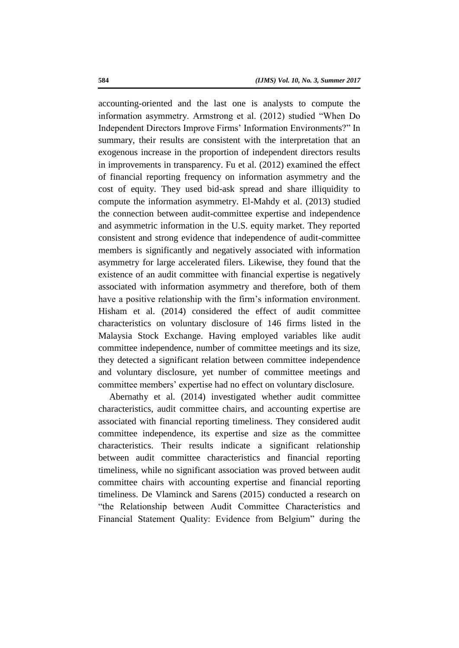accounting-oriented and the last one is analysts to compute the information asymmetry. Armstrong et al. (2012) studied "When Do Independent Directors Improve Firms' Information Environments?" In summary, their results are consistent with the interpretation that an exogenous increase in the proportion of independent directors results in improvements in transparency. Fu et al. (2012) examined the effect of financial reporting frequency on information asymmetry and the cost of equity. They used bid-ask spread and share illiquidity to compute the information asymmetry. El-Mahdy et al. (2013) studied the connection between audit-committee expertise and independence and asymmetric information in the U.S. equity market. They reported consistent and strong evidence that independence of audit-committee members is significantly and negatively associated with information asymmetry for large accelerated filers. Likewise, they found that the existence of an audit committee with financial expertise is negatively associated with information asymmetry and therefore, both of them have a positive relationship with the firm's information environment. Hisham et al. (2014) considered the effect of audit committee characteristics on voluntary disclosure of 146 firms listed in the Malaysia Stock Exchange. Having employed variables like audit committee independence, number of committee meetings and its size, they detected a significant relation between committee independence and voluntary disclosure, yet number of committee meetings and committee members' expertise had no effect on voluntary disclosure.

Abernathy et al. (2014) investigated whether audit committee characteristics, audit committee chairs, and accounting expertise are associated with financial reporting timeliness. They considered audit committee independence, its expertise and size as the committee characteristics. Their results indicate a significant relationship between audit committee characteristics and financial reporting timeliness, while no significant association was proved between audit committee chairs with accounting expertise and financial reporting timeliness. De Vlaminck and Sarens (2015) conducted a research on "the Relationship between Audit Committee Characteristics and Financial Statement Quality: Evidence from Belgium" during the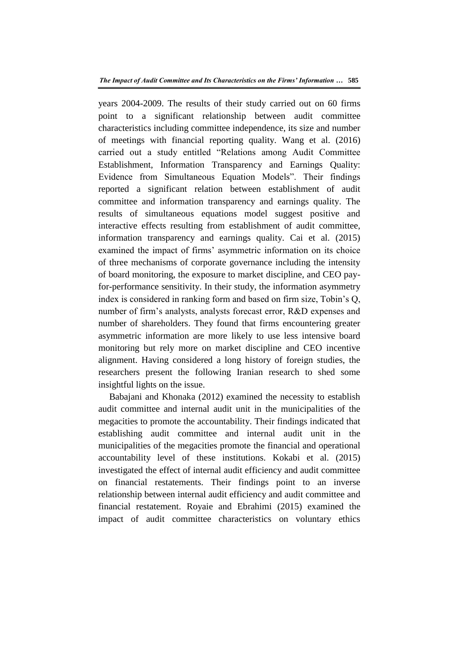years 2004-2009. The results of their study carried out on 60 firms point to a significant relationship between audit committee characteristics including committee independence, its size and number of meetings with financial reporting quality. Wang et al. (2016) carried out a study entitled "Relations among Audit Committee Establishment, Information Transparency and Earnings Quality: Evidence from Simultaneous Equation Models". Their findings reported a significant relation between establishment of audit committee and information transparency and earnings quality. The results of simultaneous equations model suggest positive and interactive effects resulting from establishment of audit committee, information transparency and earnings quality. Cai et al. (2015) examined the impact of firms' asymmetric information on its choice of three mechanisms of corporate governance including the intensity of board monitoring, the exposure to market discipline, and CEO payfor-performance sensitivity. In their study, the information asymmetry index is considered in ranking form and based on firm size, Tobin's Q, number of firm's analysts, analysts forecast error, R&D expenses and number of shareholders. They found that firms encountering greater asymmetric information are more likely to use less intensive board monitoring but rely more on market discipline and CEO incentive alignment. Having considered a long history of foreign studies, the researchers present the following Iranian research to shed some insightful lights on the issue.

Babajani and Khonaka (2012) examined the necessity to establish audit committee and internal audit unit in the municipalities of the megacities to promote the accountability. Their findings indicated that establishing audit committee and internal audit unit in the municipalities of the megacities promote the financial and operational accountability level of these institutions. Kokabi et al. (2015) investigated the effect of internal audit efficiency and audit committee on financial restatements. Their findings point to an inverse relationship between internal audit efficiency and audit committee and financial restatement. Royaie and Ebrahimi (2015) examined the impact of audit committee characteristics on voluntary ethics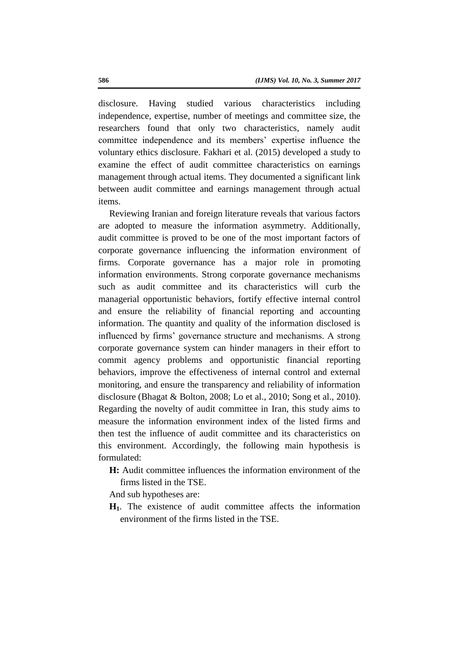disclosure. Having studied various characteristics including independence, expertise, number of meetings and committee size, the researchers found that only two characteristics, namely audit committee independence and its members' expertise influence the voluntary ethics disclosure. Fakhari et al. (2015) developed a study to examine the effect of audit committee characteristics on earnings management through actual items. They documented a significant link between audit committee and earnings management through actual items.

Reviewing Iranian and foreign literature reveals that various factors are adopted to measure the information asymmetry. Additionally, audit committee is proved to be one of the most important factors of corporate governance influencing the information environment of firms. Corporate governance has a major role in promoting information environments. Strong corporate governance mechanisms such as audit committee and its characteristics will curb the managerial opportunistic behaviors, fortify effective internal control and ensure the reliability of financial reporting and accounting information. The quantity and quality of the information disclosed is influenced by firms' governance structure and mechanisms. A strong corporate governance system can hinder managers in their effort to commit agency problems and opportunistic financial reporting behaviors, improve the effectiveness of internal control and external monitoring, and ensure the transparency and reliability of information disclosure (Bhagat & Bolton, 2008; Lo et al., 2010; Song et al., 2010). Regarding the novelty of audit committee in Iran, this study aims to measure the information environment index of the listed firms and then test the influence of audit committee and its characteristics on this environment. Accordingly, the following main hypothesis is formulated:

**H:** Audit committee influences the information environment of the firms listed in the TSE.

And sub hypotheses are:

**H1**. The existence of audit committee affects the information environment of the firms listed in the TSE.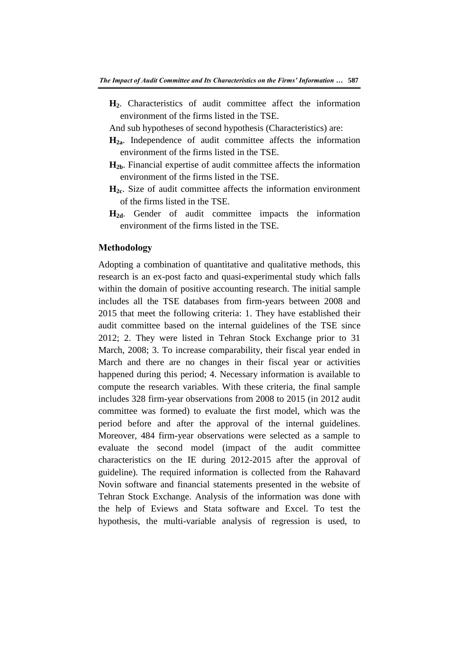- **H2**. Characteristics of audit committee affect the information environment of the firms listed in the TSE.
- And sub hypotheses of second hypothesis (Characteristics) are:
- **H2a**. Independence of audit committee affects the information environment of the firms listed in the TSE.
- **H2b**. Financial expertise of audit committee affects the information environment of the firms listed in the TSE.
- **H2c**. Size of audit committee affects the information environment of the firms listed in the TSE.
- **H2d**. Gender of audit committee impacts the information environment of the firms listed in the TSE.

# **Methodology**

Adopting a combination of quantitative and qualitative methods, this research is an ex-post facto and quasi-experimental study which falls within the domain of positive accounting research. The initial sample includes all the TSE databases from firm-years between 2008 and 2015 that meet the following criteria: 1. They have established their audit committee based on the internal guidelines of the TSE since 2012; 2. They were listed in Tehran Stock Exchange prior to 31 March, 2008; 3. To increase comparability, their fiscal year ended in March and there are no changes in their fiscal year or activities happened during this period; 4. Necessary information is available to compute the research variables. With these criteria, the final sample includes 328 firm-year observations from 2008 to 2015 (in 2012 audit committee was formed) to evaluate the first model, which was the period before and after the approval of the internal guidelines. Moreover, 484 firm-year observations were selected as a sample to evaluate the second model (impact of the audit committee characteristics on the IE during 2012-2015 after the approval of guideline). The required information is collected from the Rahavard Novin software and financial statements presented in the website of Tehran Stock Exchange. Analysis of the information was done with the help of Eviews and Stata software and Excel. To test the hypothesis, the multi-variable analysis of regression is used, to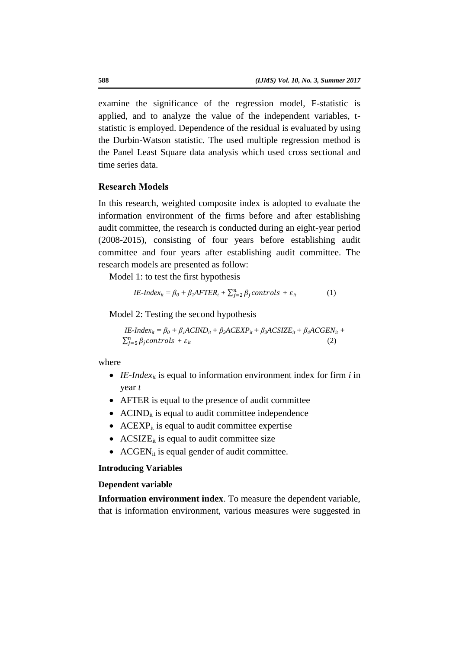examine the significance of the regression model, F-statistic is applied, and to analyze the value of the independent variables, tstatistic is employed. Dependence of the residual is evaluated by using the Durbin-Watson statistic. The used multiple regression method is the Panel Least Square data analysis which used cross sectional and time series data.

# **Research Models**

In this research, weighted composite index is adopted to evaluate the information environment of the firms before and after establishing audit committee, the research is conducted during an eight-year period (2008-2015), consisting of four years before establishing audit committee and four years after establishing audit committee. The research models are presented as follow:

Model 1: to test the first hypothesis

$$
IE-Index_{it} = \beta_0 + \beta_1 AFTER_t + \sum_{j=2}^{n} \beta_j controls + \varepsilon_{it}
$$
 (1)

Model 2: Testing the second hypothesis

$$
IE-Index_{ii} = \beta_0 + \beta_1 ACIND_{ii} + \beta_2 ACEXP_{ii} + \beta_3 ACSIZE_{ii} + \beta_4 ACGEN_{ii} + \sum_{j=5}^n \beta_j controls + \varepsilon_{ii}
$$
\n(2)

where

- IE-*Index<sub>it</sub>* is equal to information environment index for firm *i* in year *t*
- AFTER is equal to the presence of audit committee
- $\bullet$  ACIND<sub>it</sub> is equal to audit committee independence
- ACEXP<sub>it</sub> is equal to audit committee expertise
- ACSIZE $_{it}$  is equal to audit committee size
- $\bullet$  ACGEN<sub>it</sub> is equal gender of audit committee.

### **Introducing Variables**

### **Dependent variable**

**Information environment index**. To measure the dependent variable, that is information environment, various measures were suggested in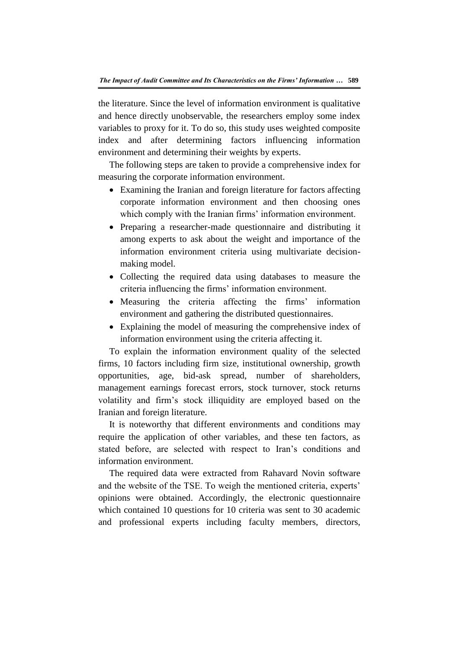the literature. Since the level of information environment is qualitative and hence directly unobservable, the researchers employ some index variables to proxy for it. To do so, this study uses weighted composite index and after determining factors influencing information environment and determining their weights by experts.

The following steps are taken to provide a comprehensive index for measuring the corporate information environment.

- Examining the Iranian and foreign literature for factors affecting corporate information environment and then choosing ones which comply with the Iranian firms' information environment.
- Preparing a researcher-made questionnaire and distributing it among experts to ask about the weight and importance of the information environment criteria using multivariate decisionmaking model.
- Collecting the required data using databases to measure the criteria influencing the firms' information environment.
- Measuring the criteria affecting the firms' information environment and gathering the distributed questionnaires.
- Explaining the model of measuring the comprehensive index of information environment using the criteria affecting it.

To explain the information environment quality of the selected firms, 10 factors including firm size, institutional ownership, growth opportunities, age, bid-ask spread, number of shareholders, management earnings forecast errors, stock turnover, stock returns volatility and firm's stock illiquidity are employed based on the Iranian and foreign literature.

It is noteworthy that different environments and conditions may require the application of other variables, and these ten factors, as stated before, are selected with respect to Iran's conditions and information environment.

The required data were extracted from Rahavard Novin software and the website of the TSE. To weigh the mentioned criteria, experts' opinions were obtained. Accordingly, the electronic questionnaire which contained 10 questions for 10 criteria was sent to 30 academic and professional experts including faculty members, directors,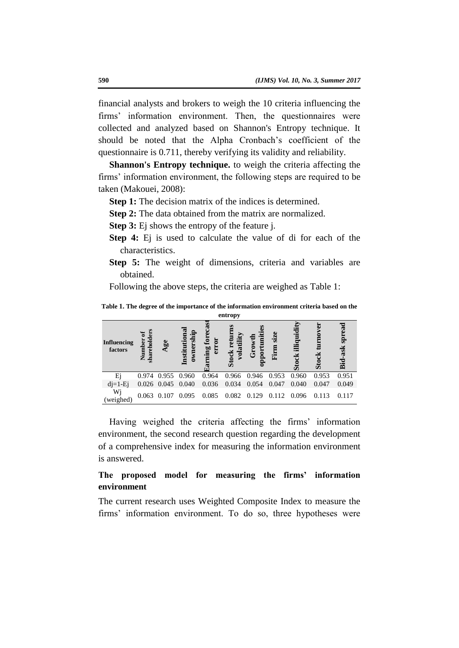financial analysts and brokers to weigh the 10 criteria influencing the firms' information environment. Then, the questionnaires were collected and analyzed based on Shannon's Entropy technique. It should be noted that the Alpha Cronbach's coefficient of the questionnaire is 0.711, thereby verifying its validity and reliability.

**Shannon's Entropy technique.** to weigh the criteria affecting the firms' information environment, the following steps are required to be taken (Makouei, 2008):

- **Step 1:** The decision matrix of the indices is determined.
- **Step 2:** The data obtained from the matrix are normalized.
- **Step 3:** Ej shows the entropy of the feature j.
- **Step 4:** Ej is used to calculate the value of di for each of the characteristics.
- **Step 5:** The weight of dimensions, criteria and variables are obtained.

Following the above steps, the criteria are weighed as Table 1:

**Table 1. The degree of the importance of the information environment criteria based on the entropy** 

| <b>Influencing</b><br>factors | rehold<br>ber<br>亯 | Age                     | ownership<br>$_{\rm nst}$ | ning  | ËĬ<br>$\overline{\text{e}}$<br>M | por<br>Ğ | size<br>Firm | ≒<br>illiqui | Ō     | -ask<br>Bid |
|-------------------------------|--------------------|-------------------------|---------------------------|-------|----------------------------------|----------|--------------|--------------|-------|-------------|
| Ei                            |                    | 0.974 0.955 0.960       |                           | 0.964 | 0.966                            | 0.946    | 0.953        | 0.960        | 0.953 | 0.951       |
| $di=1-Ei$                     |                    | $0.026$ $0.045$ $0.040$ |                           | 0.036 | 0.034                            | 0.054    | 0.047        | 0.040        | 0.047 | 0.049       |
| Wj<br>(weighed)               |                    | 0.063 0.107 0.095       |                           | 0.085 | 0.082                            | 0.129    | 0.112        | 0.096        | 0.113 | 0.117       |

Having weighed the criteria affecting the firms' information environment, the second research question regarding the development of a comprehensive index for measuring the information environment is answered.

# **The proposed model for measuring the firms' information environment**

The current research uses Weighted Composite Index to measure the firms' information environment. To do so, three hypotheses were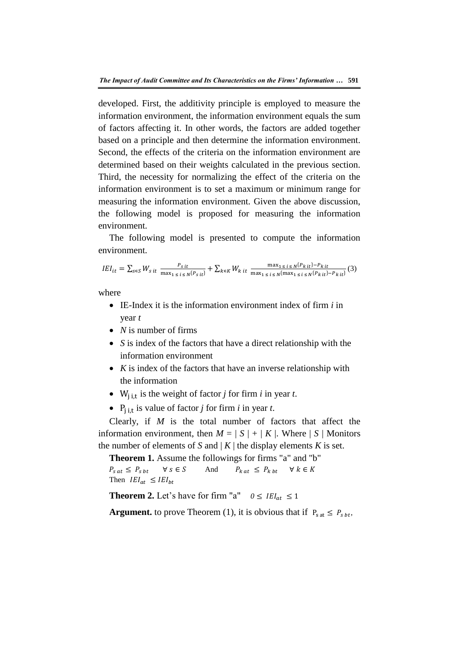developed. First, the additivity principle is employed to measure the information environment, the information environment equals the sum of factors affecting it. In other words, the factors are added together based on a principle and then determine the information environment. Second, the effects of the criteria on the information environment are determined based on their weights calculated in the previous section. Third, the necessity for normalizing the effect of the criteria on the information environment is to set a maximum or minimum range for measuring the information environment. Given the above discussion, the following model is proposed for measuring the information environment.

The following model is presented to compute the information environment.

 $IEI_{it} = \sum_{s \in S} W_{s}$  it  $\frac{P}{m}$  $\frac{P_{sit}}{\max_{1 \le i \le N} \{P_{sit}\}} + \sum_{k \in K} W_{kit} \frac{m}{\max_{1 \le i \le N} \{P_{sit}\}}$  $\frac{\max_{1 \le i \le N} \sum_{k} \sum_{t} F_{k}}{\max_{1 \le i \le N} \{ \max_{1 \le i \le N} \{ P_{k} \}_{t}}(3)}$ 

where

- IE-Index it is the information environment index of firm *i* in year *t*
- *N* is number of firms
- *S* is index of the factors that have a direct relationship with the information environment
- *K* is index of the factors that have an inverse relationship with the information
- W<sub>i it</sub> is the weight of factor *j* for firm *i* in year *t*.
- $P_{i}$  is value of factor *j* for firm *i* in year *t*.

Clearly, if *M* is the total number of factors that affect the information environment, then  $M = |S| + |K|$ . Where  $|S|$  Monitors the number of elements of *S* and  $|K|$  the display elements *K* is set.

**Theorem 1.** Assume the followings for firms "a" and "b"  $P_{s \, at} \leq P_{s \, bt}$   $\forall s \in S$  And  $P_{k \, at} \leq P_{k \, bt}$  $\forall k \in K$ Then  $IEI_{at} \leq IEI_{bt}$ 

**Theorem 2.** Let's have for firm "a"  $0 \leq IEI_{at} \leq 1$ 

**Argument.** to prove Theorem (1), it is obvious that if  $P_{\text{sat}} \leq P_{\text{st}}$ .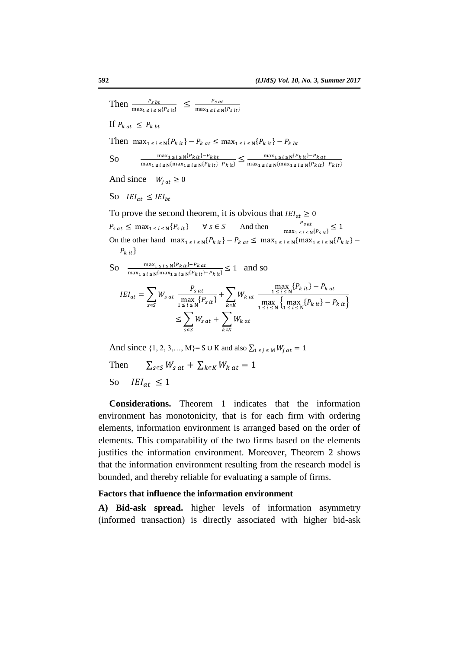Then  $\frac{P_{sbt}}{\max_{1 \le i \le N} {P_{sit}}} \le \frac{P}{\max_{1 \le i} P_{sit}}$ m If  $P_{k at} \leq P_{k bt}$ Then  $\max_{1 \le i \le N} \{P_{k,i} \} - P_{kat} \le \max_{1 \le i \le N} \{P_{k,i} \} - P_{kbt}$ So m  $\frac{\max_{1 \le i \le N} \{P_{k} i t\} - P_{k} b t}{\max_{1 \le i \le N} \{ \max_{1 \le i \le N} \{P_{k} i t\} - P_{k} i t\}} \le \frac{m}{\max_{1 \le i \le N} \{P_{k} i t\}}$ m And since  $W_{i,at} \ge 0$ So  $IEI_{at} \leq IEI_{bt}$ To prove the second theorem, it is obvious that  $IEI_{at} \geq 0$  $P_{sat} \leq \max_{1 \leq i \leq N} \{P_{sit}\}\quad \forall s \in S$  And then  $\frac{r_{sat}}{\max_{1 \leq i \leq N} \{P_{sit}\}}$ On the other hand  $\max_{1 \le i \le N} \{P_{k,i} \} - P_{k,at} \le \max_{1 \le i \le N} \{ \max_{1 \le i \le N} \{P_{k,i} \} - P_{k,i} \}$  $P_{k}$  it  $\}$ So  $\frac{m}{\sqrt{m}}$  $\frac{\max_{1 \le i \le N} \{P_k \mid it\} - P_k}{\max_{1 \le i \le N} \{ \max_{1 \le i \le N} \{P_k \mid it\} - P_k \mid it\}} \le 1$  and so  $max_{.}$ {

$$
IEI_{at} = \sum_{s \in S} W_{s \, at} \frac{P_{s \, at}}{\max_{1 \le i \le N} \{P_{s \, it}\}} + \sum_{k \in K} W_{k \, at} \frac{\max_{1 \le i \le N} \{P_{k \, it}\} - P_{k \, at}}{\max_{1 \le i \le N} \{\max_{1 \le i \le N} \{P_{k \, it}\} - P_{k \, it}\}}
$$

$$
\le \sum_{s \in S} W_{s \, at} + \sum_{k \in K} W_{k \, at}
$$

And since  $\{1, 2, 3, \dots, M\}$  = S  $\cup$  K and also  $\sum_{1 \le j \le M} W_{jat} = 1$ 

Then  $\sum_{s \in S} W_{s,at} + \sum_{k \in K} W_{k,at} = 1$ So  $IEI_{at} \leq 1$ 

**Considerations.** Theorem 1 indicates that the information environment has monotonicity, that is for each firm with ordering elements, information environment is arranged based on the order of elements. This comparability of the two firms based on the elements justifies the information environment. Moreover, Theorem 2 shows that the information environment resulting from the research model is bounded, and thereby reliable for evaluating a sample of firms.

#### **Factors that influence the information environment**

**A) Bid-ask spread.** higher levels of information asymmetry (informed transaction) is directly associated with higher bid-ask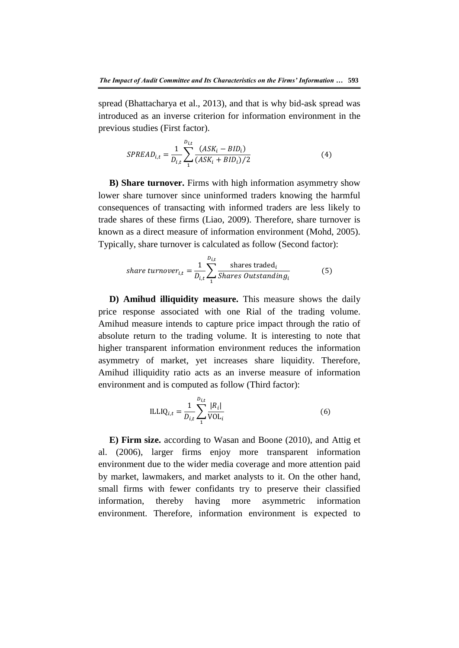spread (Bhattacharya et al., 2013), and that is why bid-ask spread was introduced as an inverse criterion for information environment in the previous studies (First factor).

$$
SPREAD_{i,t} = \frac{1}{D_{i,t}} \sum_{1}^{D_{i,t}} \frac{(ASK_i - BID_i)}{(ASK_i + BID_i)/2}
$$
(4)

**B) Share turnover.** Firms with high information asymmetry show lower share turnover since uninformed traders knowing the harmful consequences of transacting with informed traders are less likely to trade shares of these firms (Liao, 2009). Therefore, share turnover is known as a direct measure of information environment (Mohd, 2005). Typically, share turnover is calculated as follow (Second factor):

share turnover<sub>i,t</sub> = 
$$
\frac{1}{D_{i,t}} \sum_{i=1}^{D_{i,t}} \frac{\text{shares traded}_i}{\text{Shares Outstanding}_i}
$$
 (5)

**D) Amihud illiquidity measure.** This measure shows the daily price response associated with one Rial of the trading volume. Amihud measure intends to capture price impact through the ratio of absolute return to the trading volume. It is interesting to note that higher transparent information environment reduces the information asymmetry of market, yet increases share liquidity. Therefore, Amihud illiquidity ratio acts as an inverse measure of information environment and is computed as follow (Third factor):

$$
ILLIQ_{i,t} = \frac{1}{D_{i,t}} \sum_{1}^{D_{i,t}} \frac{|R_i|}{VOL_i}
$$
 (6)

**E) Firm size.** according to Wasan and Boone (2010), and Attig et al. (2006), larger firms enjoy more transparent information environment due to the wider media coverage and more attention paid by market, lawmakers, and market analysts to it. On the other hand, small firms with fewer confidants try to preserve their classified information, thereby having more asymmetric information environment. Therefore, information environment is expected to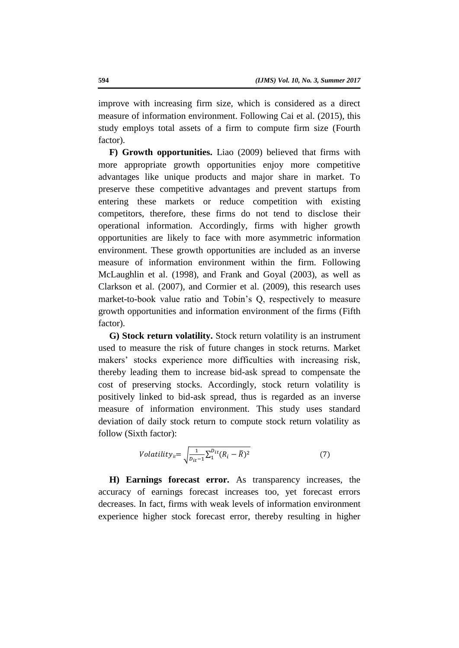improve with increasing firm size, which is considered as a direct measure of information environment. Following Cai et al. (2015), this study employs total assets of a firm to compute firm size (Fourth factor).

**F) Growth opportunities.** Liao (2009) believed that firms with more appropriate growth opportunities enjoy more competitive advantages like unique products and major share in market. To preserve these competitive advantages and prevent startups from entering these markets or reduce competition with existing competitors, therefore, these firms do not tend to disclose their operational information. Accordingly, firms with higher growth opportunities are likely to face with more asymmetric information environment. These growth opportunities are included as an inverse measure of information environment within the firm. Following McLaughlin et al. (1998), and Frank and Goyal (2003), as well as Clarkson et al. (2007), and Cormier et al. (2009), this research uses market-to-book value ratio and Tobin's Q, respectively to measure growth opportunities and information environment of the firms (Fifth factor).

**G) Stock return volatility.** Stock return volatility is an instrument used to measure the risk of future changes in stock returns. Market makers' stocks experience more difficulties with increasing risk, thereby leading them to increase bid-ask spread to compensate the cost of preserving stocks. Accordingly, stock return volatility is positively linked to bid-ask spread, thus is regarded as an inverse measure of information environment. This study uses standard deviation of daily stock return to compute stock return volatility as follow (Sixth factor):

$$
Volatility_{ii} = \sqrt{\frac{1}{D_{it}-1} \sum_{1}^{D_{it}} (R_i - \bar{R})^2}
$$
 (7)

**H) Earnings forecast error.** As transparency increases, the accuracy of earnings forecast increases too, yet forecast errors decreases. In fact, firms with weak levels of information environment experience higher stock forecast error, thereby resulting in higher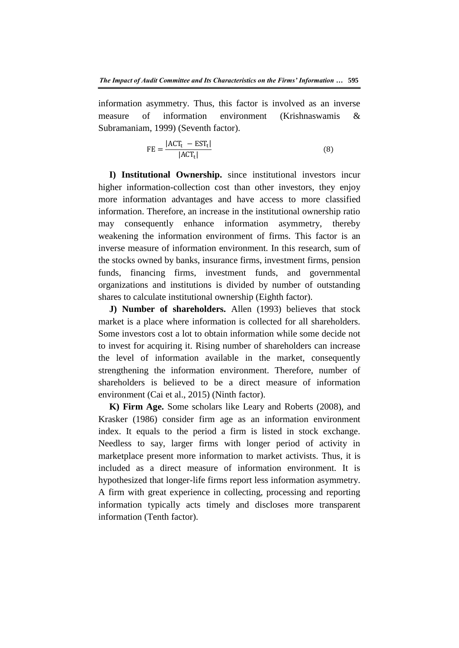information asymmetry. Thus, this factor is involved as an inverse measure of information environment (Krishnaswamis & Subramaniam, 1999) (Seventh factor).

$$
FE = \frac{|ACT_{t} - EST_{t}|}{|ACT_{t}|}
$$
(8)

**I) Institutional Ownership.** since institutional investors incur higher information-collection cost than other investors, they enjoy more information advantages and have access to more classified information. Therefore, an increase in the institutional ownership ratio may consequently enhance information asymmetry, thereby weakening the information environment of firms. This factor is an inverse measure of information environment. In this research, sum of the stocks owned by banks, insurance firms, investment firms, pension funds, financing firms, investment funds, and governmental organizations and institutions is divided by number of outstanding shares to calculate institutional ownership (Eighth factor).

**J) Number of shareholders.** Allen (1993) believes that stock market is a place where information is collected for all shareholders. Some investors cost a lot to obtain information while some decide not to invest for acquiring it. Rising number of shareholders can increase the level of information available in the market, consequently strengthening the information environment. Therefore, number of shareholders is believed to be a direct measure of information environment (Cai et al., 2015) (Ninth factor).

**K) Firm Age.** Some scholars like Leary and Roberts (2008), and Krasker (1986) consider firm age as an information environment index. It equals to the period a firm is listed in stock exchange. Needless to say, larger firms with longer period of activity in marketplace present more information to market activists. Thus, it is included as a direct measure of information environment. It is hypothesized that longer-life firms report less information asymmetry. A firm with great experience in collecting, processing and reporting information typically acts timely and discloses more transparent information (Tenth factor).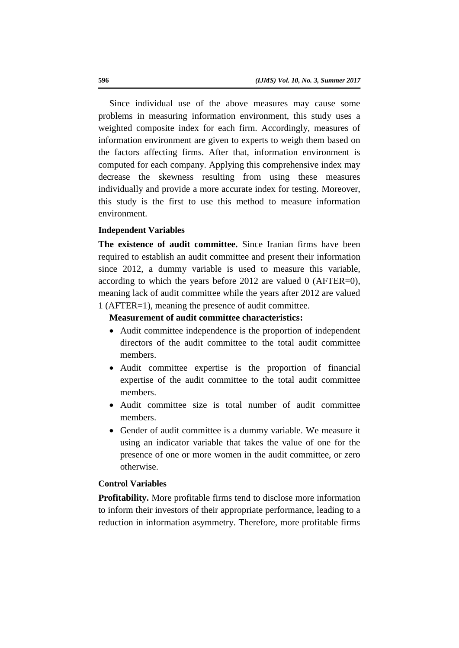Since individual use of the above measures may cause some problems in measuring information environment, this study uses a weighted composite index for each firm. Accordingly, measures of information environment are given to experts to weigh them based on the factors affecting firms. After that, information environment is computed for each company. Applying this comprehensive index may decrease the skewness resulting from using these measures individually and provide a more accurate index for testing. Moreover, this study is the first to use this method to measure information environment.

### **Independent Variables**

**The existence of audit committee.** Since Iranian firms have been required to establish an audit committee and present their information since 2012, a dummy variable is used to measure this variable, according to which the years before 2012 are valued 0 (AFTER=0), meaning lack of audit committee while the years after 2012 are valued 1 (AFTER=1), meaning the presence of audit committee.

### **Measurement of audit committee characteristics:**

- Audit committee independence is the proportion of independent directors of the audit committee to the total audit committee members.
- Audit committee expertise is the proportion of financial expertise of the audit committee to the total audit committee members.
- Audit committee size is total number of audit committee members.
- Gender of audit committee is a dummy variable. We measure it using an indicator variable that takes the value of one for the presence of one or more women in the audit committee, or zero otherwise.

## **Control Variables**

**Profitability.** More profitable firms tend to disclose more information to inform their investors of their appropriate performance, leading to a reduction in information asymmetry. Therefore, more profitable firms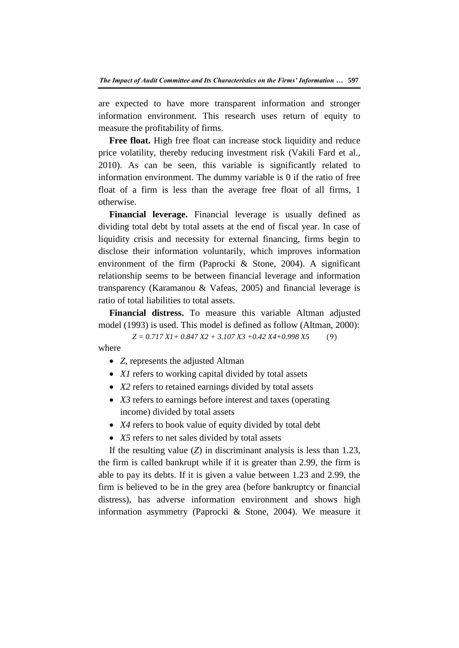are expected to have more transparent information and stronger information environment. This research uses return of equity to measure the profitability of firms.

**Free float.** High free float can increase stock liquidity and reduce price volatility, thereby reducing investment risk (Vakili Fard et al., 2010). As can be seen, this variable is significantly related to information environment. The dummy variable is 0 if the ratio of free float of a firm is less than the average free float of all firms, 1 otherwise.

**Financial leverage.** Financial leverage is usually defined as dividing total debt by total assets at the end of fiscal year. In case of liquidity crisis and necessity for external financing, firms begin to disclose their information voluntarily, which improves information environment of the firm (Paprocki & Stone, 2004). A significant relationship seems to be between financial leverage and information transparency (Karamanou & Vafeas, 2005) and financial leverage is ratio of total liabilities to total assets.

**Financial distress.** To measure this variable Altman adjusted model (1993) is used. This model is defined as follow (Altman, 2000):

*Z = 0.717 X1+ 0.847 X2 + 3.107 X3 +0.42 X4+0.998 X5*

where

- *Z*, represents the adjusted Altman
- *X1* refers to working capital divided by total assets
- *X2* refers to retained earnings divided by total assets
- *X3* refers to earnings before interest and taxes (operating income) divided by total assets
- *X4* refers to book value of equity divided by total debt
- X5 refers to net sales divided by total assets

If the resulting value  $(Z)$  in discriminant analysis is less than 1.23, the firm is called bankrupt while if it is greater than 2.99, the firm is able to pay its debts. If it is given a value between 1.23 and 2.99, the firm is believed to be in the grey area (before bankruptcy or financial distress), has adverse information environment and shows high information asymmetry (Paprocki & Stone, 2004). We measure it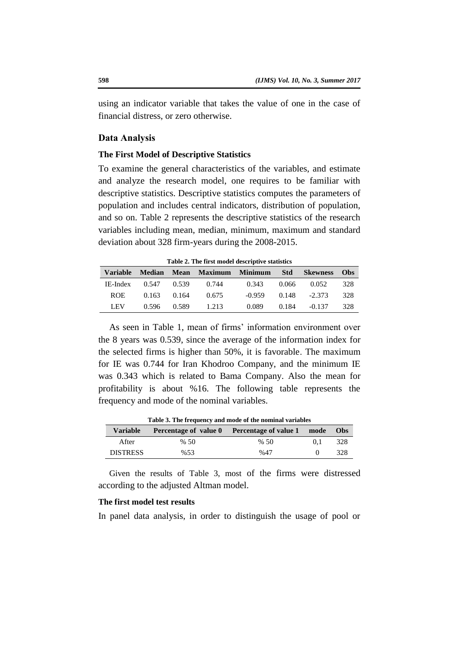using an indicator variable that takes the value of one in the case of financial distress, or zero otherwise.

### **Data Analysis**

#### **The First Model of Descriptive Statistics**

To examine the general characteristics of the variables, and estimate and analyze the research model, one requires to be familiar with descriptive statistics. Descriptive statistics computes the parameters of population and includes central indicators, distribution of population, and so on. Table 2 represents the descriptive statistics of the research variables including mean, median, minimum, maximum and standard deviation about 328 firm-years during the 2008-2015.

**Table 2. The first model descriptive statistics**

|            |                         | Variable Median Mean Maximum Minimum Std |                         | <b>Skewness Obs</b>       |     |
|------------|-------------------------|------------------------------------------|-------------------------|---------------------------|-----|
|            |                         | IE-Index 0.547 0.539 0.744               | $0.343$ $0.066$ $0.052$ |                           | 328 |
| <b>ROE</b> | $0.163$ $0.164$ $0.675$ |                                          |                         | $-0.959$ $0.148$ $-2.373$ | 328 |
| LEV –      |                         | 0.596 0.589 1.213                        |                         | $0.089$ $0.184$ $-0.137$  | 328 |

As seen in Table 1, mean of firms' information environment over the 8 years was 0.539, since the average of the information index for the selected firms is higher than 50%, it is favorable. The maximum for IE was 0.744 for Iran Khodroo Company, and the minimum IE was 0.343 which is related to Bama Company. Also the mean for profitability is about %16. The following table represents the frequency and mode of the nominal variables.

| Variable        |      | Percentage of value 0 Percentage of value 1 mode |       | Obs |
|-----------------|------|--------------------------------------------------|-------|-----|
| After           | % 50 | %50                                              | (0.1) | 328 |
| <b>DISTRESS</b> | %53  | %47                                              |       | 328 |

**Table 3. The frequency and mode of the nominal variables**

Given the results of Table 3, most of the firms were distressed according to the adjusted Altman model.

# **The first model test results**

In panel data analysis, in order to distinguish the usage of pool or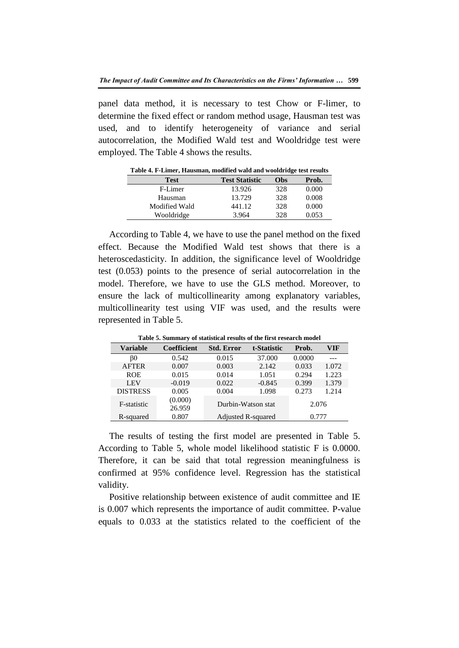panel data method, it is necessary to test Chow or F-limer, to determine the fixed effect or random method usage, Hausman test was used, and to identify heterogeneity of variance and serial autocorrelation, the Modified Wald test and Wooldridge test were employed. The Table 4 shows the results.

| Table 4: 1 - Emily, Hausman, modifica wald and wooldfuge lest results |                       |     |       |
|-----------------------------------------------------------------------|-----------------------|-----|-------|
| <b>Test</b>                                                           | <b>Test Statistic</b> | Obs | Prob. |
| F-Limer                                                               | 13.926                | 328 | 0.000 |
| Hausman                                                               | 13.729                | 328 | 0.008 |
| Modified Wald                                                         | 441.12                | 328 | 0.000 |
| Wooldridge                                                            | 3.964                 | 328 | 0.053 |

**Table 4. F-Limer, Hausman, modified wald and wooldridge test results**

According to Table 4, we have to use the panel method on the fixed effect. Because the Modified Wald test shows that there is a heteroscedasticity. In addition, the significance level of Wooldridge test (0.053) points to the presence of serial autocorrelation in the model. Therefore, we have to use the GLS method. Moreover, to ensure the lack of multicollinearity among explanatory variables, multicollinearity test using VIF was used, and the results were represented in Table 5.

**Table 5. Summary of statistical results of the first research model**

| <b>Variable</b> | <b>Coefficient</b> | <b>Std. Error</b>  | t-Statistic | Prob.  | VIF   |
|-----------------|--------------------|--------------------|-------------|--------|-------|
| ß0              | 0.542              | 0.015              | 37.000      | 0.0000 |       |
| <b>AFTER</b>    | 0.007              | 0.003              | 2.142       | 0.033  | 1.072 |
| <b>ROE</b>      | 0.015              | 0.014              | 1.051       | 0.294  | 1.223 |
| <b>LEV</b>      | $-0.019$           | 0.022              | $-0.845$    | 0.399  | 1.379 |
| <b>DISTRESS</b> | 0.005              | 0.004              | 1.098       | 0.273  | 1.214 |
| F-statistic     | (0.000)<br>26.959  | Durbin-Watson stat |             | 2.076  |       |
| R-squared       | 0.807              | Adjusted R-squared |             | 0.777  |       |

The results of testing the first model are presented in Table 5. According to Table 5, whole model likelihood statistic F is 0.0000. Therefore, it can be said that total regression meaningfulness is confirmed at 95% confidence level. Regression has the statistical validity.

Positive relationship between existence of audit committee and IE is 0.007 which represents the importance of audit committee. P-value equals to 0.033 at the statistics related to the coefficient of the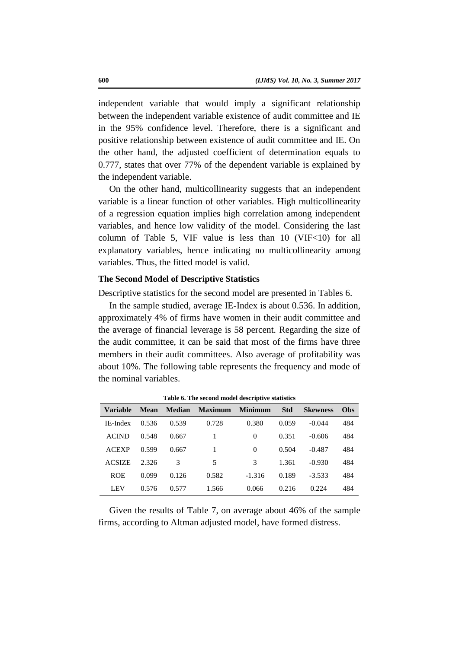independent variable that would imply a significant relationship between the independent variable existence of audit committee and IE in the 95% confidence level. Therefore, there is a significant and positive relationship between existence of audit committee and IE. On the other hand, the adjusted coefficient of determination equals to 0.777, states that over 77% of the dependent variable is explained by the independent variable.

On the other hand, multicollinearity suggests that an independent variable is a linear function of other variables. High multicollinearity of a regression equation implies high correlation among independent variables, and hence low validity of the model. Considering the last column of Table 5, VIF value is less than  $10$  (VIF $<$ 10) for all explanatory variables, hence indicating no multicollinearity among variables. Thus, the fitted model is valid.

### **The Second Model of Descriptive Statistics**

Descriptive statistics for the second model are presented in Tables 6.

In the sample studied, average IE-Index is about 0.536. In addition, approximately 4% of firms have women in their audit committee and the average of financial leverage is 58 percent. Regarding the size of the audit committee, it can be said that most of the firms have three members in their audit committees. Also average of profitability was about 10%. The following table represents the frequency and mode of the nominal variables.

| <b>Variable</b> | Mean  |       | Median Maximum Minimum |          | <b>Std</b> | <b>Skewness</b> | <b>Obs</b> |
|-----------------|-------|-------|------------------------|----------|------------|-----------------|------------|
| IE-Index        | 0.536 | 0.539 | 0.728                  | 0.380    | 0.059      | $-0.044$        | 484        |
| <b>ACIND</b>    | 0.548 | 0.667 | 1                      | $\Omega$ | 0.351      | $-0.606$        | 484        |
| <b>ACEXP</b>    | 0.599 | 0.667 | 1                      | $\Omega$ | 0.504      | $-0.487$        | 484        |
| <b>ACSIZE</b>   | 2.326 | 3     | 5                      | 3        | 1.361      | $-0.930$        | 484        |
| <b>ROE</b>      | 0.099 | 0.126 | 0.582                  | $-1.316$ | 0.189      | $-3.533$        | 484        |
| <b>LEV</b>      | 0.576 | 0.577 | 1.566                  | 0.066    | 0.216      | 0.224           | 484        |

**Table 6. The second model descriptive statistics**

Given the results of Table 7, on average about 46% of the sample firms, according to Altman adjusted model, have formed distress.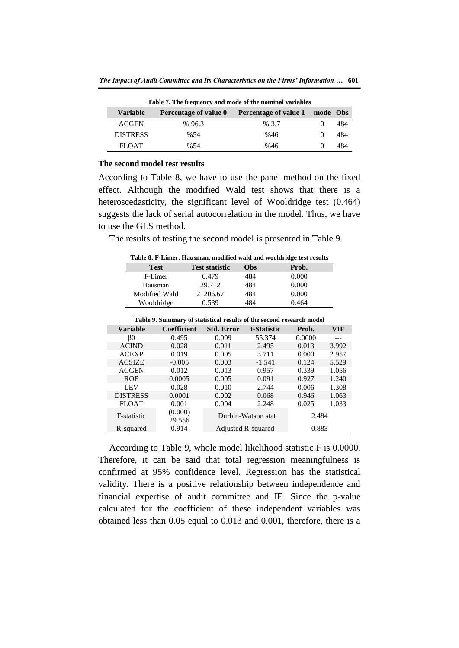| Table 7. The frequency and mode of the nominal variables |                              |                              |          |     |  |  |
|----------------------------------------------------------|------------------------------|------------------------------|----------|-----|--|--|
| <b>Variable</b>                                          | <b>Percentage of value 0</b> | <b>Percentage of value 1</b> | mode Obs |     |  |  |
| <b>ACGEN</b>                                             | %96.3                        | % 3.7                        |          | 484 |  |  |
| <b>DISTRESS</b>                                          | %54                          | %46                          |          | 484 |  |  |
| <b>FLOAT</b>                                             | %54                          | %46                          |          | 484 |  |  |

#### **The second model test results**

According to Table 8, we have to use the panel method on the fixed effect. Although the modified Wald test shows that there is a heteroscedasticity, the significant level of Wooldridge test (0.464) suggests the lack of serial autocorrelation in the model. Thus, we have to use the GLS method.

The results of testing the second model is presented in Table 9.

**Table 8. F-Limer, Hausman, modified wald and wooldridge test results**

| <b>Test</b>   | <b>Test statistic</b> | Obs | Prob. |
|---------------|-----------------------|-----|-------|
| F-Limer       | 6.479                 | 484 | 0.000 |
| Hausman       | 29.712                | 484 | 0.000 |
| Modified Wald | 21206.67              | 484 | 0.000 |
| Wooldridge    | 0.539                 | 484 | 0.464 |
|               |                       |     |       |

|                 | <b>Table 9. Summary of statistical results of the second research model</b> |                   |                    |        |       |  |  |
|-----------------|-----------------------------------------------------------------------------|-------------------|--------------------|--------|-------|--|--|
| <b>Variable</b> | <b>Coefficient</b>                                                          | <b>Std. Error</b> | t-Statistic        | Prob.  | VIF   |  |  |
| <sub>BO</sub>   | 0.495                                                                       | 0.009             | 55.374             | 0.0000 |       |  |  |
| <b>ACIND</b>    | 0.028                                                                       | 0.011             | 2.495              | 0.013  | 3.992 |  |  |
| <b>ACEXP</b>    | 0.019                                                                       | 0.005             | 3.711              | 0.000  | 2.957 |  |  |
| <b>ACSIZE</b>   | $-0.005$                                                                    | 0.003             | $-1.541$           | 0.124  | 5.529 |  |  |
| <b>ACGEN</b>    | 0.012                                                                       | 0.013             | 0.957              | 0.339  | 1.056 |  |  |
| <b>ROE</b>      | 0.0005                                                                      | 0.005             | 0.091              | 0.927  | 1.240 |  |  |
| <b>LEV</b>      | 0.028                                                                       | 0.010             | 2.744              | 0.006  | 1.308 |  |  |
| <b>DISTRESS</b> | 0.0001                                                                      | 0.002             | 0.068              | 0.946  | 1.063 |  |  |
| <b>FLOAT</b>    | 0.001                                                                       | 0.004             | 2.248              | 0.025  | 1.033 |  |  |
| F-statistic     | (0.000)<br>29.556                                                           |                   | Durbin-Watson stat | 2.484  |       |  |  |
| R-squared       | 0.914                                                                       |                   | Adjusted R-squared | 0.883  |       |  |  |

**Table 9. Summary of statistical results of the second research model**

According to Table 9, whole model likelihood statistic F is 0.0000. Therefore, it can be said that total regression meaningfulness is confirmed at 95% confidence level. Regression has the statistical validity. There is a positive relationship between independence and financial expertise of audit committee and IE. Since the p-value calculated for the coefficient of these independent variables was obtained less than 0.05 equal to 0.013 and 0.001, therefore, there is a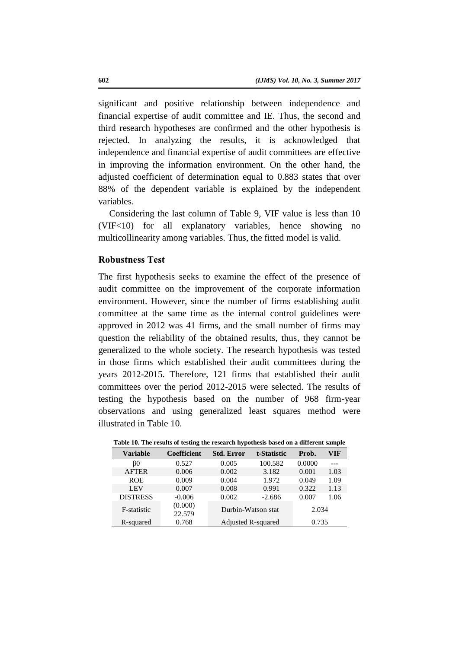significant and positive relationship between independence and financial expertise of audit committee and IE. Thus, the second and third research hypotheses are confirmed and the other hypothesis is rejected. In analyzing the results, it is acknowledged that independence and financial expertise of audit committees are effective in improving the information environment. On the other hand, the adjusted coefficient of determination equal to 0.883 states that over 88% of the dependent variable is explained by the independent variables.

Considering the last column of Table 9, VIF value is less than 10 (VIF<10) for all explanatory variables, hence showing no multicollinearity among variables. Thus, the fitted model is valid.

# **Robustness Test**

The first hypothesis seeks to examine the effect of the presence of audit committee on the improvement of the corporate information environment. However, since the number of firms establishing audit committee at the same time as the internal control guidelines were approved in 2012 was 41 firms, and the small number of firms may question the reliability of the obtained results, thus, they cannot be generalized to the whole society. The research hypothesis was tested in those firms which established their audit committees during the years 2012-2015. Therefore, 121 firms that established their audit committees over the period 2012-2015 were selected. The results of testing the hypothesis based on the number of 968 firm-year observations and using generalized least squares method were illustrated in Table 10.

| <b>Variable</b> | <b>Coefficient</b> | <b>Std. Error</b>         | t-Statistic | Prob.  | VIF  |
|-----------------|--------------------|---------------------------|-------------|--------|------|
| BO              | 0.527              | 0.005                     | 100.582     | 0.0000 |      |
| <b>AFTER</b>    | 0.006              | 0.002                     | 3.182       | 0.001  | 1.03 |
| <b>ROE</b>      | 0.009              | 0.004                     | 1.972       | 0.049  | 1.09 |
| <b>LEV</b>      | 0.007              | 0.008                     | 0.991       | 0.322  | 1.13 |
| <b>DISTRESS</b> | $-0.006$           | 0.002                     | $-2.686$    | 0.007  | 1.06 |
| F-statistic     | (0.000)<br>22.579  | Durbin-Watson stat        |             | 2.034  |      |
| R-squared       | 0.768              | <b>Adjusted R-squared</b> |             | 0.735  |      |

**Table 10. The results of testing the research hypothesis based on a different sample**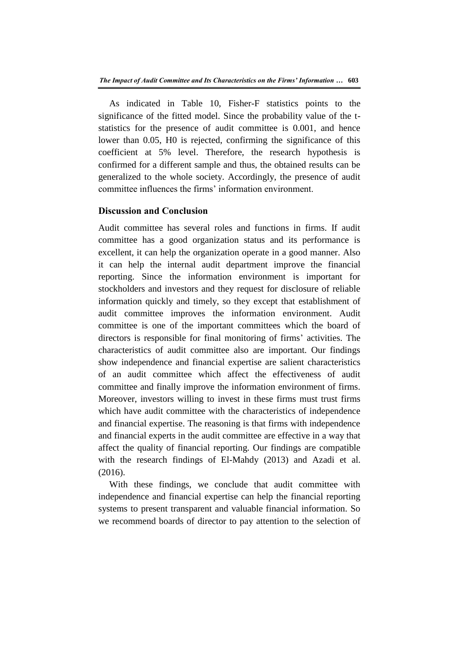As indicated in Table 10, Fisher-F statistics points to the significance of the fitted model. Since the probability value of the tstatistics for the presence of audit committee is 0.001, and hence lower than 0.05, H0 is rejected, confirming the significance of this coefficient at 5% level. Therefore, the research hypothesis is confirmed for a different sample and thus, the obtained results can be generalized to the whole society. Accordingly, the presence of audit committee influences the firms' information environment.

# **Discussion and Conclusion**

Audit committee has several roles and functions in firms. If audit committee has a good organization status and its performance is excellent, it can help the organization operate in a good manner. Also it can help the internal audit department improve the financial reporting. Since the information environment is important for stockholders and investors and they request for disclosure of reliable information quickly and timely, so they except that establishment of audit committee improves the information environment. Audit committee is one of the important committees which the board of directors is responsible for final monitoring of firms' activities. The characteristics of audit committee also are important. Our findings show independence and financial expertise are salient characteristics of an audit committee which affect the effectiveness of audit committee and finally improve the information environment of firms. Moreover, investors willing to invest in these firms must trust firms which have audit committee with the characteristics of independence and financial expertise. The reasoning is that firms with independence and financial experts in the audit committee are effective in a way that affect the quality of financial reporting. Our findings are compatible with the research findings of El-Mahdy (2013) and Azadi et al. (2016).

With these findings, we conclude that audit committee with independence and financial expertise can help the financial reporting systems to present transparent and valuable financial information. So we recommend boards of director to pay attention to the selection of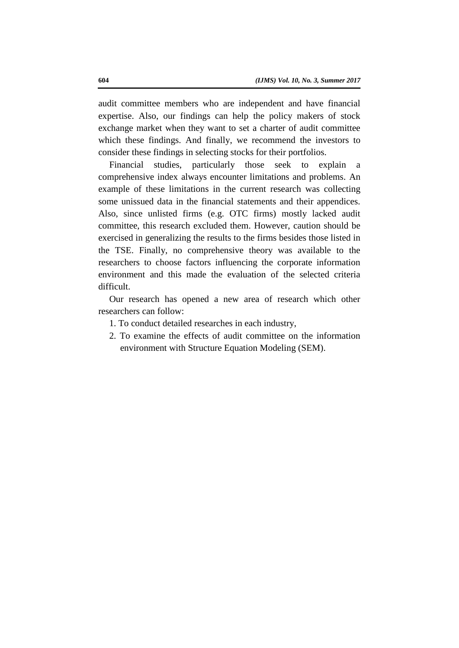audit committee members who are independent and have financial expertise. Also, our findings can help the policy makers of stock exchange market when they want to set a charter of audit committee which these findings. And finally, we recommend the investors to consider these findings in selecting stocks for their portfolios.

Financial studies, particularly those seek to explain a comprehensive index always encounter limitations and problems. An example of these limitations in the current research was collecting some unissued data in the financial statements and their appendices. Also, since unlisted firms (e.g. OTC firms) mostly lacked audit committee, this research excluded them. However, caution should be exercised in generalizing the results to the firms besides those listed in the TSE. Finally, no comprehensive theory was available to the researchers to choose factors influencing the corporate information environment and this made the evaluation of the selected criteria difficult.

Our research has opened a new area of research which other researchers can follow:

- 1. To conduct detailed researches in each industry,
- 2. To examine the effects of audit committee on the information environment with Structure Equation Modeling (SEM).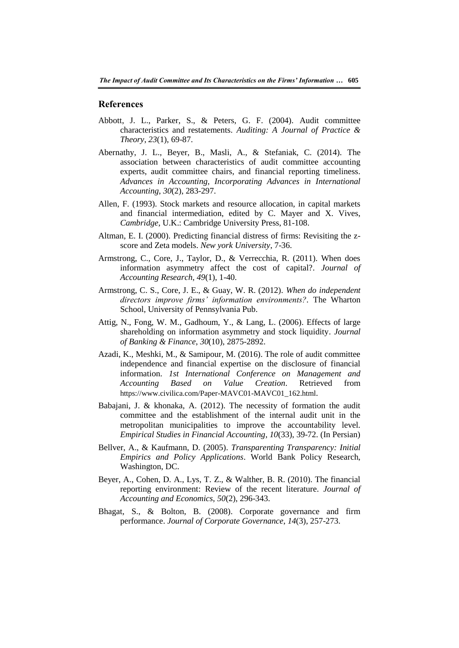#### **References**

- Abbott, J. L., Parker, S., & Peters, G. F. (2004). Audit committee characteristics and restatements. *Auditing: A Journal of Practice & Theory*, *23*(1), 69-87.
- Abernathy, J. L., Beyer, B., Masli, A., & Stefaniak, C. (2014). The association between characteristics of audit committee accounting experts, audit committee chairs, and financial reporting timeliness. *Advances in Accounting, Incorporating Advances in International Accounting*, *30*(2), 283-297.
- Allen, F. (1993). Stock markets and resource allocation, in capital markets and financial intermediation, edited by C. Mayer and X. Vives, *Cambridge*, U.K.: Cambridge University Press, 81-108.
- Altman, E. I. (2000). Predicting financial distress of firms: Revisiting the zscore and Zeta models. *New york University*, 7-36.
- Armstrong, C., Core, J., Taylor, D., & Verrecchia, R. (2011). When does information asymmetry affect the cost of capital?. *Journal of Accounting Research*, *49*(1), 1-40.
- Armstrong, C. S., Core, J. E., & Guay, W. R. (2012). *When do independent directors improve firms' information environments?.* The Wharton School, University of Pennsylvania Pub.
- Attig, N., Fong, W. M., Gadhoum, Y., & Lang, L. (2006). Effects of large shareholding on information asymmetry and stock liquidity. *Journal of Banking & Finance*, *30*(10), 2875-2892.
- Azadi, K., Meshki, M., & Samipour, M. (2016). The role of audit committee independence and financial expertise on the disclosure of financial information. *1st International Conference on Management and Accounting Based on Value Creation*. Retrieved from https://www.civilica.com/Paper-MAVC01-MAVC01\_162.html.
- Babajani, J. & khonaka, A. (2012). The necessity of formation the audit committee and the establishment of the internal audit unit in the metropolitan municipalities to improve the accountability level. *Empirical Studies in Financial Accounting*, *10*(33), 39-72. (In Persian)
- Bellver, A., & Kaufmann, D. (2005). *Transparenting Transparency: Initial Empirics and Policy Applications*. World Bank Policy Research, Washington, DC.
- Beyer, A., Cohen, D. A., Lys, T. Z., & Walther, B. R. (2010). The financial reporting environment: Review of the recent literature. *Journal of Accounting and Economics*, *50*(2), 296-343.
- Bhagat, S., & Bolton, B. (2008). Corporate governance and firm performance. *Journal of Corporate Governance*, *14*(3), 257-273.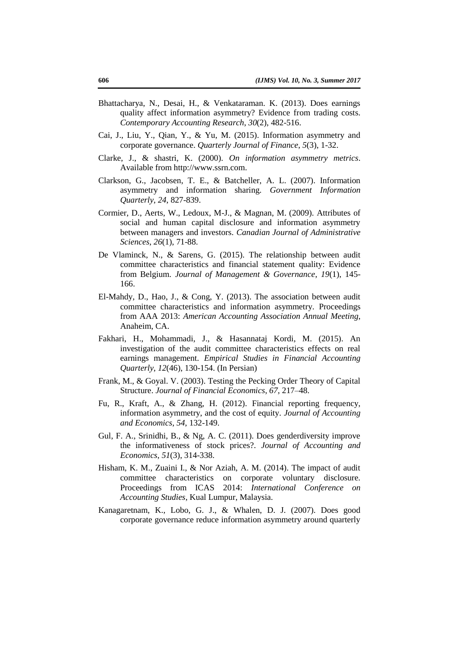- Bhattacharya, N., Desai, H., & Venkataraman. K. (2013). Does earnings quality affect information asymmetry? Evidence from trading costs. *Contemporary Accounting Research*, *30*(2), 482-516.
- Cai, J., Liu, Y., Qian, Y., & Yu, M. (2015). Information asymmetry and corporate governance. *Quarterly Journal of Finance*, *5*(3), 1-32.
- Clarke, J., & shastri, K. (2000). *On information asymmetry metrics*. Available from http://www.ssrn.com.
- Clarkson, G., Jacobsen, T. E., & Batcheller, A. L. (2007). Information asymmetry and information sharing. *Government Information Quarterly*, *24*, 827-839.
- Cormier, D., Aerts, W., Ledoux, M-J., & Magnan, M. (2009). Attributes of social and human capital disclosure and information asymmetry between managers and investors. *Canadian Journal of Administrative Sciences*, *26*(1), 71-88.
- De Vlaminck, N., & Sarens, G. (2015). The relationship between audit committee characteristics and financial statement quality: Evidence from Belgium. *Journal of Management & Governance*, *19*(1), 145- 166.
- El-Mahdy, D., Hao, J., & Cong, Y. (2013). The association between audit committee characteristics and information asymmetry. Proceedings from AAA 2013: *American Accounting Association Annual Meeting*, Anaheim, CA.
- Fakhari, H., Mohammadi, J., & Hasannataj Kordi, M. (2015). An investigation of the audit committee characteristics effects on real earnings management. *Empirical Studies in Financial Accounting Quarterly*, *12*(46), 130-154. (In Persian)
- Frank, M., & Goyal. V. (2003). Testing the Pecking Order Theory of Capital Structure. *Journal of Financial Economics*, *67*, 217–48.
- Fu, R., Kraft, A., & Zhang, H. (2012). Financial reporting frequency, information asymmetry, and the cost of equity. *Journal of Accounting and Economics*, *54*, 132-149.
- Gul, F. A., Srinidhi, B., & Ng, A. C. (2011). Does genderdiversity improve the informativeness of stock prices?. *Journal of Accounting and Economics*, *51*(3), 314-338.
- Hisham, K. M., Zuaini I., & Nor Aziah, A. M. (2014). The impact of audit committee characteristics on corporate voluntary disclosure. Proceedings from ICAS 2014: *International Conference on Accounting Studies*, Kual Lumpur, Malaysia.
- Kanagaretnam, K., Lobo, G. J., & Whalen, D. J. (2007). Does good corporate governance reduce information asymmetry around quarterly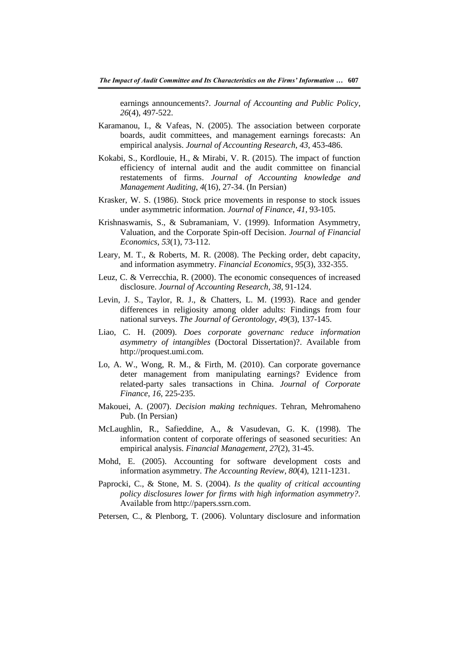earnings announcements?. *Journal of Accounting and Public Policy*, *26*(4), 497-522.

- Karamanou, I., & Vafeas, N. (2005). The association between corporate boards, audit committees, and management earnings forecasts: An empirical analysis. *Journal of Accounting Research*, *43*, 453-486.
- Kokabi, S., Kordlouie, H., & Mirabi, V. R. (2015). The impact of function efficiency of internal audit and the audit committee on financial restatements of firms. *Journal of Accounting knowledge and Management Auditing*, *4*(16), 27-34. (In Persian)
- Krasker, W. S. (1986). Stock price movements in response to stock issues under asymmetric information. *Journal of Finance*, *41*, 93-105.
- Krishnaswamis, S., & Subramaniam, V. (1999). Information Asymmetry, Valuation, and the Corporate Spin-off Decision. *Journal of Financial Economics*, *53*(1), 73-112.
- Leary, M. T., & Roberts, M. R. (2008). The Pecking order, debt capacity, and information asymmetry. *Financial Economics*, *95*(3), 332-355.
- Leuz, C. & Verrecchia, R. (2000). The economic consequences of increased disclosure. *Journal of Accounting Research*, *38*, 91-124.
- Levin, J. S., Taylor, R. J., & Chatters, L. M. (1993). Race and gender differences in religiosity among older adults: Findings from four national surveys. *The Journal of Gerontology*, *49*(3), 137-145.
- Liao, C. H. (2009). *Does corporate governanc reduce information asymmetry of intangibles* (Doctoral Dissertation)?. Available from http://proquest.umi.com.
- Lo, A. W., Wong, R. M., & Firth, M. (2010). Can corporate governance deter management from manipulating earnings? Evidence from related-party sales transactions in China. *Journal of Corporate Finance*, *16*, 225-235.
- Makouei, A. (2007). *Decision making techniques*. Tehran, Mehromaheno Pub. (In Persian)
- McLaughlin, R., Safieddine, A., & Vasudevan, G. K. (1998). The information content of corporate offerings of seasoned securities: An empirical analysis. *Financial Management*, *27*(2), 31-45.
- Mohd, E. (2005). Accounting for software development costs and information asymmetry. *The Accounting Review*, *80*(4), 1211-1231.
- Paprocki, C., & Stone, M. S. (2004). *Is the quality of critical accounting policy disclosures lower for firms with high information asymmetry?.* Available from http://papers.ssrn.com.
- Petersen, C., & Plenborg, T. (2006). Voluntary disclosure and information